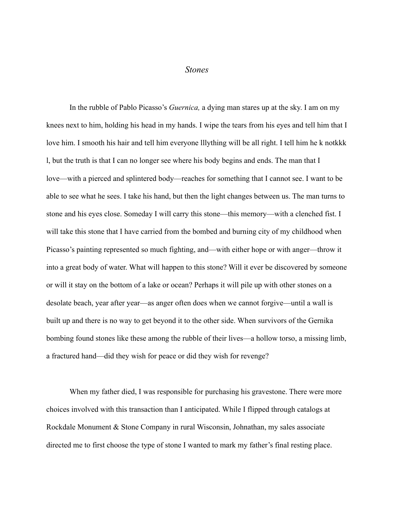## *Stones*

In the rubble of Pablo Picasso's *Guernica,* a dying man stares up at the sky. I am on my knees next to him, holding his head in my hands. I wipe the tears from his eyes and tell him that I love him. I smooth his hair and tell him everyone lllything will be all right. I tell him he k notkkk l, but the truth is that I can no longer see where his body begins and ends. The man that I love—with a pierced and splintered body—reaches for something that I cannot see. I want to be able to see what he sees. I take his hand, but then the light changes between us. The man turns to stone and his eyes close. Someday I will carry this stone—this memory—with a clenched fist. I will take this stone that I have carried from the bombed and burning city of my childhood when Picasso's painting represented so much fighting, and—with either hope or with anger—throw it into a great body of water. What will happen to this stone? Will it ever be discovered by someone or will it stay on the bottom of a lake or ocean? Perhaps it will pile up with other stones on a desolate beach, year after year—as anger often does when we cannot forgive—until a wall is built up and there is no way to get beyond it to the other side. When survivors of the Gernika bombing found stones like these among the rubble of their lives—a hollow torso, a missing limb, a fractured hand—did they wish for peace or did they wish for revenge?

When my father died, I was responsible for purchasing his gravestone. There were more choices involved with this transaction than I anticipated. While I flipped through catalogs at Rockdale Monument & Stone Company in rural Wisconsin, Johnathan, my sales associate directed me to first choose the type of stone I wanted to mark my father's final resting place.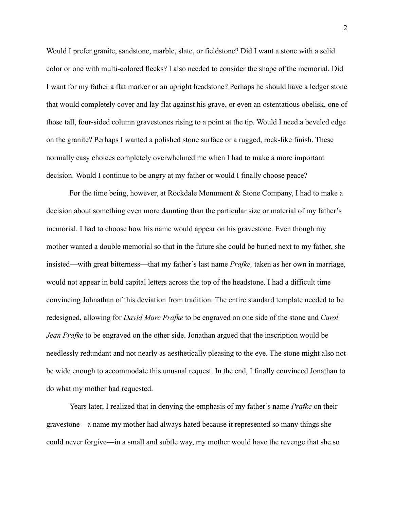Would I prefer granite, sandstone, marble, slate, or fieldstone? Did I want a stone with a solid color or one with multi-colored flecks? I also needed to consider the shape of the memorial. Did I want for my father a flat marker or an upright headstone? Perhaps he should have a ledger stone that would completely cover and lay flat against his grave, or even an ostentatious obelisk, one of those tall, four-sided column gravestones rising to a point at the tip. Would I need a beveled edge on the granite? Perhaps I wanted a polished stone surface or a rugged, rock-like finish. These normally easy choices completely overwhelmed me when I had to make a more important decision. Would I continue to be angry at my father or would I finally choose peace?

For the time being, however, at Rockdale Monument & Stone Company, I had to make a decision about something even more daunting than the particular size or material of my father's memorial. I had to choose how his name would appear on his gravestone. Even though my mother wanted a double memorial so that in the future she could be buried next to my father, she insisted—with great bitterness—that my father's last name *Prafke,* taken as her own in marriage, would not appear in bold capital letters across the top of the headstone. I had a difficult time convincing Johnathan of this deviation from tradition. The entire standard template needed to be redesigned, allowing for *David Marc Prafke* to be engraved on one side of the stone and *Carol Jean Prafke* to be engraved on the other side. Jonathan argued that the inscription would be needlessly redundant and not nearly as aesthetically pleasing to the eye. The stone might also not be wide enough to accommodate this unusual request. In the end, I finally convinced Jonathan to do what my mother had requested.

Years later, I realized that in denying the emphasis of my father's name *Prafke* on their gravestone—a name my mother had always hated because it represented so many things she could never forgive—in a small and subtle way, my mother would have the revenge that she so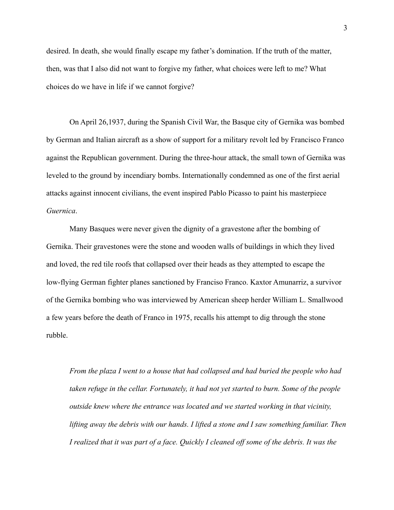desired. In death, she would finally escape my father's domination. If the truth of the matter, then, was that I also did not want to forgive my father, what choices were left to me? What choices do we have in life if we cannot forgive?

On April 26,1937, during the Spanish Civil War, the Basque city of Gernika was bombed by German and Italian aircraft as a show of support for a military revolt led by Francisco Franco against the Republican government. During the three-hour attack, the small town of Gernika was leveled to the ground by incendiary bombs. Internationally condemned as one of the first aerial attacks against innocent civilians, the event inspired Pablo Picasso to paint his masterpiece *Guernica*.

Many Basques were never given the dignity of a gravestone after the bombing of Gernika. Their gravestones were the stone and wooden walls of buildings in which they lived and loved, the red tile roofs that collapsed over their heads as they attempted to escape the low-flying German fighter planes sanctioned by Franciso Franco. Kaxtor Amunarriz, a survivor of the Gernika bombing who was interviewed by American sheep herder William L. Smallwood a few years before the death of Franco in 1975, recalls his attempt to dig through the stone rubble.

*From the plaza I went to a house that had collapsed and had buried the people who had taken refuge in the cellar. Fortunately, it had not yet started to burn. Some of the people outside knew where the entrance was located and we started working in that vicinity, lifting away the debris with our hands. I lifted a stone and I saw something familiar. Then I realized that it was part of a face. Quickly I cleaned off some of the debris. It was the*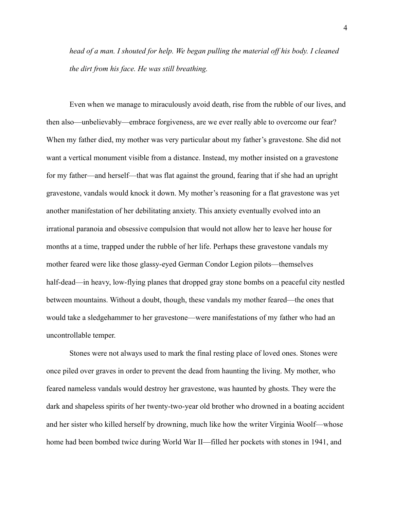*head of a man. I shouted for help. We began pulling the material off his body. I cleaned the dirt from his face. He was still breathing.*

Even when we manage to miraculously avoid death, rise from the rubble of our lives, and then also—unbelievably—embrace forgiveness, are we ever really able to overcome our fear? When my father died, my mother was very particular about my father's gravestone. She did not want a vertical monument visible from a distance. Instead, my mother insisted on a gravestone for my father—and herself—that was flat against the ground, fearing that if she had an upright gravestone, vandals would knock it down. My mother's reasoning for a flat gravestone was yet another manifestation of her debilitating anxiety. This anxiety eventually evolved into an irrational paranoia and obsessive compulsion that would not allow her to leave her house for months at a time, trapped under the rubble of her life. Perhaps these gravestone vandals my mother feared were like those glassy-eyed German Condor Legion pilots—themselves half-dead—in heavy, low-flying planes that dropped gray stone bombs on a peaceful city nestled between mountains. Without a doubt, though, these vandals my mother feared—the ones that would take a sledgehammer to her gravestone—were manifestations of my father who had an uncontrollable temper.

Stones were not always used to mark the final resting place of loved ones. Stones were once piled over graves in order to prevent the dead from haunting the living. My mother, who feared nameless vandals would destroy her gravestone, was haunted by ghosts. They were the dark and shapeless spirits of her twenty-two-year old brother who drowned in a boating accident and her sister who killed herself by drowning, much like how the writer Virginia Woolf—whose home had been bombed twice during World War II—filled her pockets with stones in 1941, and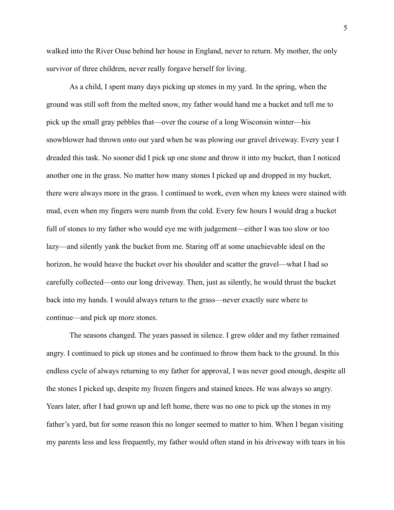walked into the River Ouse behind her house in England, never to return. My mother, the only survivor of three children, never really forgave herself for living.

As a child, I spent many days picking up stones in my yard. In the spring, when the ground was still soft from the melted snow, my father would hand me a bucket and tell me to pick up the small gray pebbles that—over the course of a long Wisconsin winter—his snowblower had thrown onto our yard when he was plowing our gravel driveway. Every year I dreaded this task. No sooner did I pick up one stone and throw it into my bucket, than I noticed another one in the grass. No matter how many stones I picked up and dropped in my bucket, there were always more in the grass. I continued to work, even when my knees were stained with mud, even when my fingers were numb from the cold. Every few hours I would drag a bucket full of stones to my father who would eye me with judgement—either I was too slow or too lazy—and silently yank the bucket from me. Staring off at some unachievable ideal on the horizon, he would heave the bucket over his shoulder and scatter the gravel—what I had so carefully collected—onto our long driveway. Then, just as silently, he would thrust the bucket back into my hands. I would always return to the grass—never exactly sure where to continue—and pick up more stones.

The seasons changed. The years passed in silence. I grew older and my father remained angry. I continued to pick up stones and he continued to throw them back to the ground. In this endless cycle of always returning to my father for approval, I was never good enough, despite all the stones I picked up, despite my frozen fingers and stained knees. He was always so angry. Years later, after I had grown up and left home, there was no one to pick up the stones in my father's yard, but for some reason this no longer seemed to matter to him. When I began visiting my parents less and less frequently, my father would often stand in his driveway with tears in his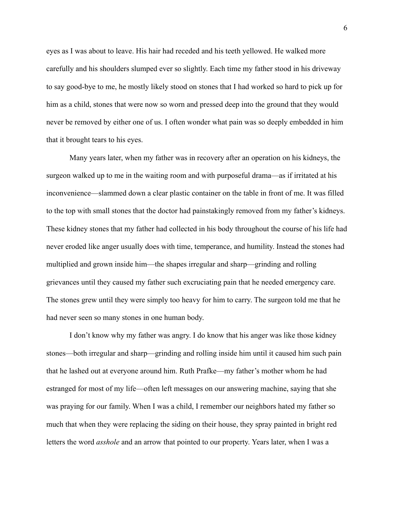eyes as I was about to leave. His hair had receded and his teeth yellowed. He walked more carefully and his shoulders slumped ever so slightly. Each time my father stood in his driveway to say good-bye to me, he mostly likely stood on stones that I had worked so hard to pick up for him as a child, stones that were now so worn and pressed deep into the ground that they would never be removed by either one of us. I often wonder what pain was so deeply embedded in him that it brought tears to his eyes.

Many years later, when my father was in recovery after an operation on his kidneys, the surgeon walked up to me in the waiting room and with purposeful drama—as if irritated at his inconvenience—slammed down a clear plastic container on the table in front of me. It was filled to the top with small stones that the doctor had painstakingly removed from my father's kidneys. These kidney stones that my father had collected in his body throughout the course of his life had never eroded like anger usually does with time, temperance, and humility. Instead the stones had multiplied and grown inside him—the shapes irregular and sharp—grinding and rolling grievances until they caused my father such excruciating pain that he needed emergency care. The stones grew until they were simply too heavy for him to carry. The surgeon told me that he had never seen so many stones in one human body.

I don't know why my father was angry. I do know that his anger was like those kidney stones—both irregular and sharp—grinding and rolling inside him until it caused him such pain that he lashed out at everyone around him. Ruth Prafke—my father's mother whom he had estranged for most of my life—often left messages on our answering machine, saying that she was praying for our family. When I was a child, I remember our neighbors hated my father so much that when they were replacing the siding on their house, they spray painted in bright red letters the word *asshole* and an arrow that pointed to our property. Years later, when I was a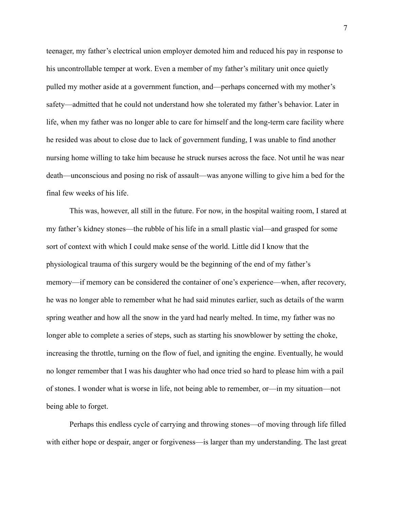teenager, my father's electrical union employer demoted him and reduced his pay in response to his uncontrollable temper at work. Even a member of my father's military unit once quietly pulled my mother aside at a government function, and—perhaps concerned with my mother's safety—admitted that he could not understand how she tolerated my father's behavior. Later in life, when my father was no longer able to care for himself and the long-term care facility where he resided was about to close due to lack of government funding, I was unable to find another nursing home willing to take him because he struck nurses across the face. Not until he was near death—unconscious and posing no risk of assault—was anyone willing to give him a bed for the final few weeks of his life.

This was, however, all still in the future. For now, in the hospital waiting room, I stared at my father's kidney stones—the rubble of his life in a small plastic vial—and grasped for some sort of context with which I could make sense of the world. Little did I know that the physiological trauma of this surgery would be the beginning of the end of my father's memory—if memory can be considered the container of one's experience—when, after recovery, he was no longer able to remember what he had said minutes earlier, such as details of the warm spring weather and how all the snow in the yard had nearly melted. In time, my father was no longer able to complete a series of steps, such as starting his snowblower by setting the choke, increasing the throttle, turning on the flow of fuel, and igniting the engine. Eventually, he would no longer remember that I was his daughter who had once tried so hard to please him with a pail of stones. I wonder what is worse in life, not being able to remember, or—in my situation—not being able to forget.

Perhaps this endless cycle of carrying and throwing stones—of moving through life filled with either hope or despair, anger or forgiveness—is larger than my understanding. The last great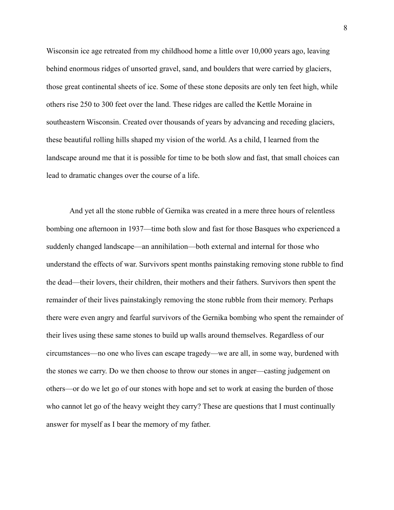Wisconsin ice age retreated from my childhood home a little over 10,000 years ago, leaving behind enormous ridges of unsorted gravel, sand, and boulders that were carried by glaciers, those great continental sheets of ice. Some of these stone deposits are only ten feet high, while others rise 250 to 300 feet over the land. These ridges are called the Kettle Moraine in southeastern Wisconsin. Created over thousands of years by advancing and receding glaciers, these beautiful rolling hills shaped my vision of the world. As a child, I learned from the landscape around me that it is possible for time to be both slow and fast, that small choices can lead to dramatic changes over the course of a life.

And yet all the stone rubble of Gernika was created in a mere three hours of relentless bombing one afternoon in 1937—time both slow and fast for those Basques who experienced a suddenly changed landscape—an annihilation—both external and internal for those who understand the effects of war. Survivors spent months painstaking removing stone rubble to find the dead—their lovers, their children, their mothers and their fathers. Survivors then spent the remainder of their lives painstakingly removing the stone rubble from their memory. Perhaps there were even angry and fearful survivors of the Gernika bombing who spent the remainder of their lives using these same stones to build up walls around themselves. Regardless of our circumstances—no one who lives can escape tragedy—we are all, in some way, burdened with the stones we carry. Do we then choose to throw our stones in anger—casting judgement on others—or do we let go of our stones with hope and set to work at easing the burden of those who cannot let go of the heavy weight they carry? These are questions that I must continually answer for myself as I bear the memory of my father.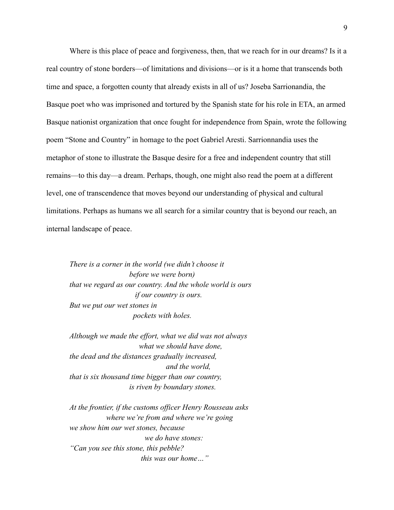Where is this place of peace and forgiveness, then, that we reach for in our dreams? Is it a real country of stone borders—of limitations and divisions—or is it a home that transcends both time and space, a forgotten county that already exists in all of us? Joseba Sarrionandia, the Basque poet who was imprisoned and tortured by the Spanish state for his role in ETA, an armed Basque nationist organization that once fought for independence from Spain, wrote the following poem "Stone and Country" in homage to the poet Gabriel Aresti. Sarrionnandia uses the metaphor of stone to illustrate the Basque desire for a free and independent country that still remains—to this day—a dream. Perhaps, though, one might also read the poem at a different level, one of transcendence that moves beyond our understanding of physical and cultural limitations. Perhaps as humans we all search for a similar country that is beyond our reach, an internal landscape of peace.

*There is a corner in the world (we didn't choose it before we were born) that we regard as our country. And the whole world is ours if our country is ours. But we put our wet stones in pockets with holes.*

*Although we made the effort, what we did was not always what we should have done, the dead and the distances gradually increased, and the world, that is six thousand time bigger than our country, is riven by boundary stones.*

*At the frontier, if the customs officer Henry Rousseau asks where we're from and where we're going we show him our wet stones, because we do have stones: "Can you see this stone, this pebble? this was our home…"*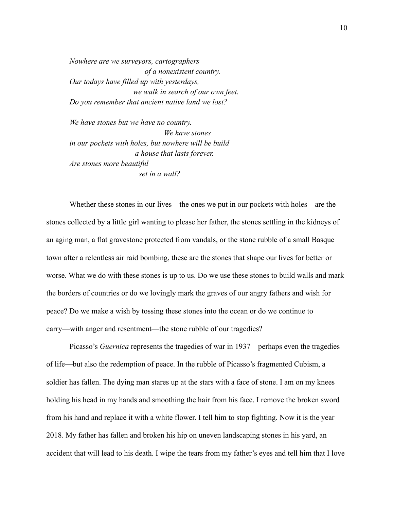*Nowhere are we surveyors, cartographers of a nonexistent country. Our todays have filled up with yesterdays, we walk in search of our own feet. Do you remember that ancient native land we lost?*

*We have stones but we have no country. We have stones in our pockets with holes, but nowhere will be build a house that lasts forever. Are stones more beautiful set in a wall?*

Whether these stones in our lives—the ones we put in our pockets with holes—are the stones collected by a little girl wanting to please her father, the stones settling in the kidneys of an aging man, a flat gravestone protected from vandals, or the stone rubble of a small Basque town after a relentless air raid bombing, these are the stones that shape our lives for better or worse. What we do with these stones is up to us. Do we use these stones to build walls and mark the borders of countries or do we lovingly mark the graves of our angry fathers and wish for peace? Do we make a wish by tossing these stones into the ocean or do we continue to carry—with anger and resentment—the stone rubble of our tragedies?

Picasso's *Guernica* represents the tragedies of war in 1937—perhaps even the tragedies of life—but also the redemption of peace. In the rubble of Picasso's fragmented Cubism, a soldier has fallen. The dying man stares up at the stars with a face of stone. I am on my knees holding his head in my hands and smoothing the hair from his face. I remove the broken sword from his hand and replace it with a white flower. I tell him to stop fighting. Now it is the year 2018. My father has fallen and broken his hip on uneven landscaping stones in his yard, an accident that will lead to his death. I wipe the tears from my father's eyes and tell him that I love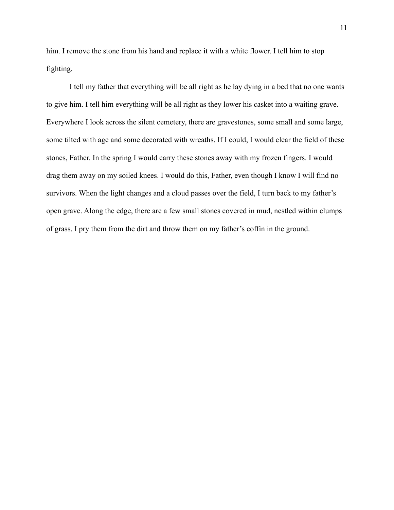him. I remove the stone from his hand and replace it with a white flower. I tell him to stop fighting.

I tell my father that everything will be all right as he lay dying in a bed that no one wants to give him. I tell him everything will be all right as they lower his casket into a waiting grave. Everywhere I look across the silent cemetery, there are gravestones, some small and some large, some tilted with age and some decorated with wreaths. If I could, I would clear the field of these stones, Father. In the spring I would carry these stones away with my frozen fingers. I would drag them away on my soiled knees. I would do this, Father, even though I know I will find no survivors. When the light changes and a cloud passes over the field, I turn back to my father's open grave. Along the edge, there are a few small stones covered in mud, nestled within clumps of grass. I pry them from the dirt and throw them on my father's coffin in the ground.